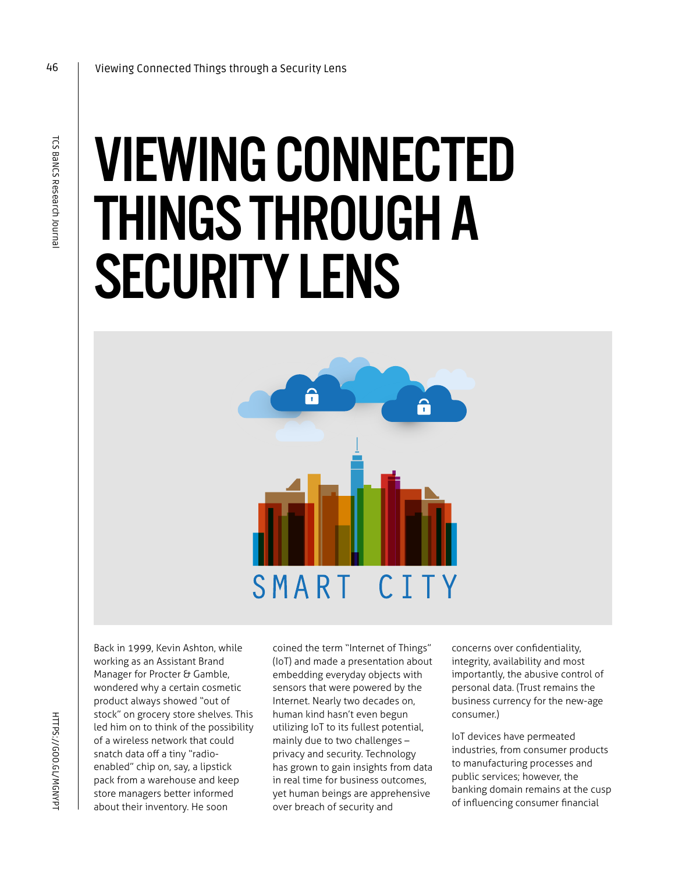# VIEWING CONNECTED THINGS THROUGH A SECURITY LENS



Back in 1999, Kevin Ashton, while working as an Assistant Brand Manager for Procter & Gamble, wondered why a certain cosmetic product always showed "out of stock" on grocery store shelves. This led him on to think of the possibility of a wireless network that could snatch data off a tiny "radioenabled" chip on, say, a lipstick pack from a warehouse and keep store managers better informed about their inventory. He soon

coined the term "Internet of Things" (IoT) and made a presentation about embedding everyday objects with sensors that were powered by the Internet. Nearly two decades on, human kind hasn't even begun utilizing IoT to its fullest potential, mainly due to two challenges – privacy and security. Technology has grown to gain insights from data in real time for business outcomes, yet human beings are apprehensive over breach of security and

concerns over confidentiality, integrity, availability and most importantly, the abusive control of personal data. (Trust remains the business currency for the new-age consumer.)

IoT devices have permeated industries, from consumer products to manufacturing processes and public services; however, the banking domain remains at the cusp of influencing consumer financial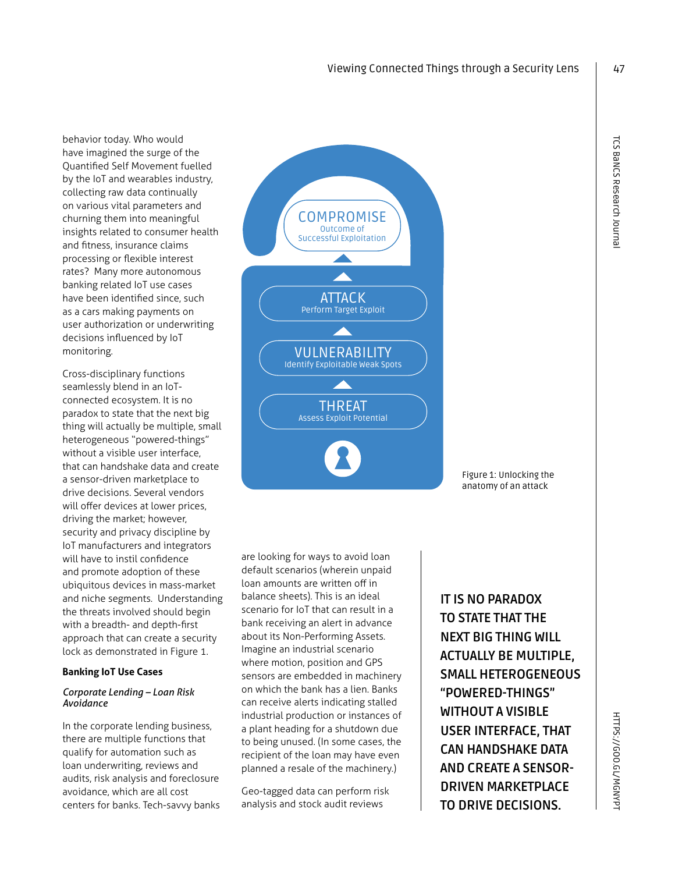behavior today. Who would have imagined the surge of the Quantified Self Movement fuelled by the IoT and wearables industry, collecting raw data continually on various vital parameters and churning them into meaningful insights related to consumer health and fitness, insurance claims processing or flexible interest rates? Many more autonomous banking related IoT use cases have been identified since, such as a cars making payments on user authorization or underwriting decisions influenced by IoT monitoring.

Cross-disciplinary functions seamlessly blend in an IoTconnected ecosystem. It is no paradox to state that the next big thing will actually be multiple, small heterogeneous "powered-things" without a visible user interface, that can handshake data and create a sensor-driven marketplace to drive decisions. Several vendors will offer devices at lower prices, driving the market; however, security and privacy discipline by IoT manufacturers and integrators will have to instil confidence and promote adoption of these ubiquitous devices in mass-market and niche segments. Understanding the threats involved should begin with a breadth- and depth-first approach that can create a security lock as demonstrated in Figure 1.

#### **Banking IoT Use Cases**

#### *Corporate Lending – Loan Risk Avoidance*

In the corporate lending business, there are multiple functions that qualify for automation such as loan underwriting, reviews and audits, risk analysis and foreclosure avoidance, which are all cost centers for banks. Tech-savvy banks



are looking for ways to avoid loan default scenarios (wherein unpaid loan amounts are written off in balance sheets). This is an ideal scenario for IoT that can result in a bank receiving an alert in advance about its Non-Performing Assets. Imagine an industrial scenario where motion, position and GPS sensors are embedded in machinery on which the bank has a lien. Banks can receive alerts indicating stalled industrial production or instances of a plant heading for a shutdown due to being unused. (In some cases, the recipient of the loan may have even planned a resale of the machinery.)

Geo-tagged data can perform risk analysis and stock audit reviews

**IT IS NO PARADOX TO STATE THAT THE NEXT BIG THING WILL ACTUALLY BE MULTIPLE, SMALL HETEROGENEOUS "POWERED-THINGS" WITHOUT A VISIBLE USER INTERFACE, THAT CAN HANDSHAKE DATA AND CREATE A SENSOR-DRIVEN MARKETPLACE TO DRIVE DECISIONS.**

47

Figure 1: Unlocking the anatomy of an attack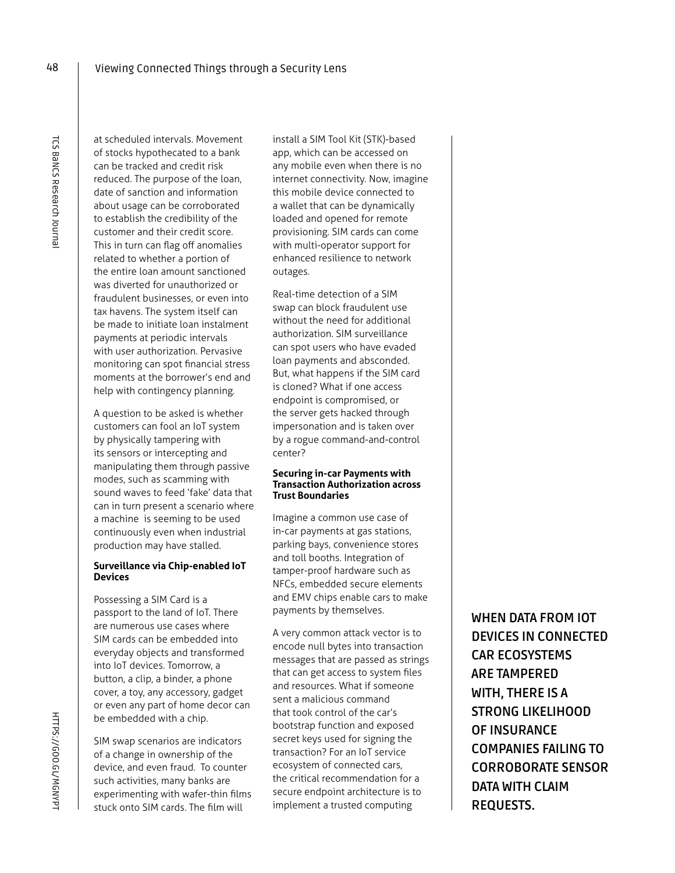at scheduled intervals. Movement of stocks hypothecated to a bank can be tracked and credit risk reduced. The purpose of the loan, date of sanction and information about usage can be corroborated to establish the credibility of the customer and their credit score. This in turn can flag off anomalies related to whether a portion of the entire loan amount sanctioned was diverted for unauthorized or fraudulent businesses, or even into tax havens. The system itself can be made to initiate loan instalment payments at periodic intervals with user authorization. Pervasive monitoring can spot financial stress moments at the borrower's end and help with contingency planning.

Viewing Connected Things through a Security Lens

A question to be asked is whether customers can fool an IoT system by physically tampering with its sensors or intercepting and manipulating them through passive modes, such as scamming with sound waves to feed 'fake' data that can in turn present a scenario where a machine is seeming to be used continuously even when industrial production may have stalled.

#### **Surveillance via Chip-enabled IoT Devices**

Possessing a SIM Card is a passport to the land of IoT. There are numerous use cases where SIM cards can be embedded into everyday objects and transformed into IoT devices. Tomorrow, a button, a clip, a binder, a phone cover, a toy, any accessory, gadget or even any part of home decor can be embedded with a chip.

SIM swap scenarios are indicators of a change in ownership of the device, and even fraud. To counter such activities, many banks are experimenting with wafer-thin films stuck onto SIM cards. The film will

install a SIM Tool Kit (STK)-based app, which can be accessed on any mobile even when there is no internet connectivity. Now, imagine this mobile device connected to a wallet that can be dynamically loaded and opened for remote provisioning. SIM cards can come with multi-operator support for enhanced resilience to network outages.

Real-time detection of a SIM swap can block fraudulent use without the need for additional authorization. SIM surveillance can spot users who have evaded loan payments and absconded. But, what happens if the SIM card is cloned? What if one access endpoint is compromised, or the server gets hacked through impersonation and is taken over by a rogue command-and-control center?

#### **Securing in-car Payments with Transaction Authorization across Trust Boundaries**

Imagine a common use case of in-car payments at gas stations, parking bays, convenience stores and toll booths. Integration of tamper-proof hardware such as NFCs, embedded secure elements and EMV chips enable cars to make payments by themselves.

A very common attack vector is to encode null bytes into transaction messages that are passed as strings that can get access to system files and resources. What if someone sent a malicious command that took control of the car's bootstrap function and exposed secret keys used for signing the transaction? For an IoT service ecosystem of connected cars, the critical recommendation for a secure endpoint architecture is to implement a trusted computing

**WHEN DATA FROM IOT DEVICES IN CONNECTED CAR ECOSYSTEMS ARE TAMPERED WITH, THERE IS A STRONG LIKELIHOOD OF INSURANCE COMPANIES FAILING TO CORROBORATE SENSOR DATA WITH CLAIM REQUESTS.**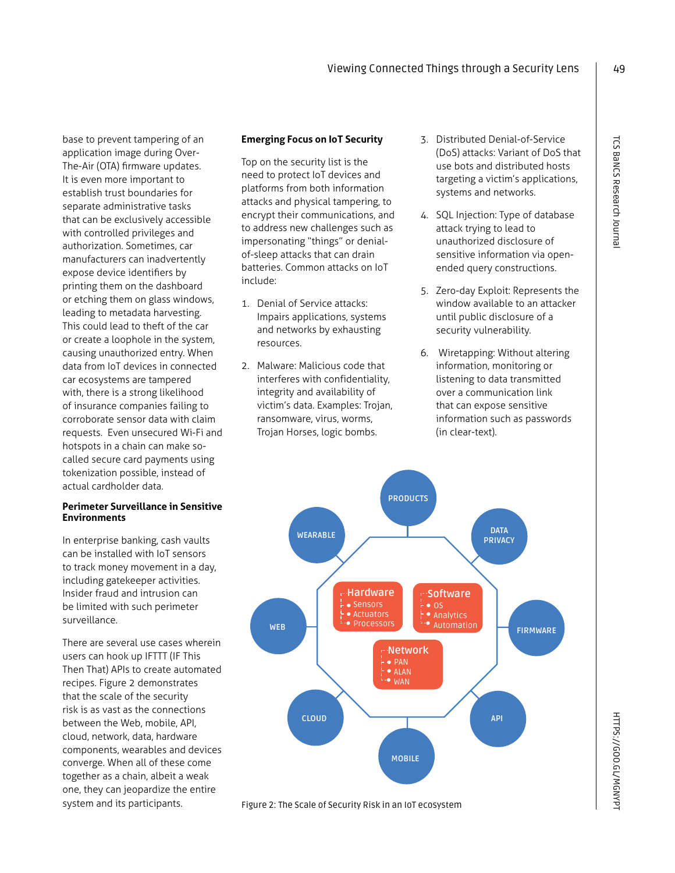base to prevent tampering of an application image during Over-The-Air (OTA) firmware updates. It is even more important to establish trust boundaries for separate administrative tasks that can be exclusively accessible with controlled privileges and authorization. Sometimes, car manufacturers can inadvertently expose device identifiers by printing them on the dashboard or etching them on glass windows, leading to metadata harvesting. This could lead to theft of the car or create a loophole in the system, causing unauthorized entry. When data from IoT devices in connected car ecosystems are tampered with, there is a strong likelihood of insurance companies failing to corroborate sensor data with claim requests. Even unsecured Wi-Fi and hotspots in a chain can make socalled secure card payments using tokenization possible, instead of actual cardholder data.

#### **Perimeter Surveillance in Sensitive Environments**

In enterprise banking, cash vaults can be installed with IoT sensors to track money movement in a day, including gatekeeper activities. Insider fraud and intrusion can be limited with such perimeter surveillance.

There are several use cases wherein users can hook up IFTTT (IF This Then That) APIs to create automated recipes. Figure 2 demonstrates that the scale of the security risk is as vast as the connections between the Web, mobile, API, cloud, network, data, hardware components, wearables and devices converge. When all of these come together as a chain, albeit a weak one, they can jeopardize the entire system and its participants.

## **Emerging Focus on IoT Security**

Top on the security list is the need to protect IoT devices and platforms from both information attacks and physical tampering, to encrypt their communications, and to address new challenges such as impersonating "things" or denialof-sleep attacks that can drain batteries. Common attacks on IoT include:

- 1. Denial of Service attacks: Impairs applications, systems and networks by exhausting resources.
- 2. Malware: Malicious code that interferes with confidentiality, integrity and availability of victim's data. Examples: Trojan, ransomware, virus, worms, Trojan Horses, logic bombs.
- 3. Distributed Denial-of-Service (DoS) attacks: Variant of DoS that use bots and distributed hosts targeting a victim's applications, systems and networks.
- 4. SQL Injection: Type of database attack trying to lead to unauthorized disclosure of sensitive information via openended query constructions.
- 5. Zero-day Exploit: Represents the window available to an attacker until public disclosure of a security vulnerability.
- 6. Wiretapping: Without altering information, monitoring or listening to data transmitted over a communication link that can expose sensitive information such as passwords (in clear-text).



Figure 2: The Scale of Security Risk in an IoT ecosystem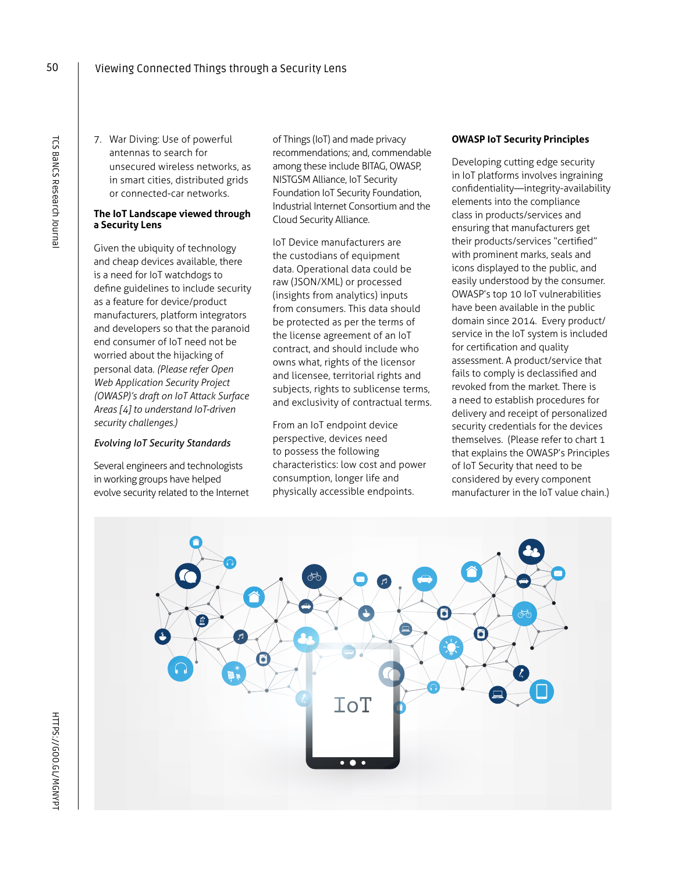7. War Diving: Use of powerful antennas to search for unsecured wireless networks, as in smart cities, distributed grids or connected-car networks.

## **The IoT Landscape viewed through a Security Lens**

Given the ubiquity of technology and cheap devices available, there is a need for IoT watchdogs to define guidelines to include security as a feature for device/product manufacturers, platform integrators and developers so that the paranoid end consumer of IoT need not be worried about the hijacking of personal data. *(Please refer Open Web Application Security Project (OWASP)'s draft on IoT Attack Surface Areas [4] to understand IoT-driven security challenges.)*

# *Evolving IoT Security Standards*

Several engineers and technologists in working groups have helped evolve security related to the Internet of Things (IoT) and made privacy recommendations; and, commendable among these include BITAG, OWASP, NISTGSM Alliance, IoT Security Foundation IoT Security Foundation, Industrial Internet Consortium and the Cloud Security Alliance.

IoT Device manufacturers are the custodians of equipment data. Operational data could be raw (JSON/XML) or processed (insights from analytics) inputs from consumers. This data should be protected as per the terms of the license agreement of an IoT contract, and should include who owns what, rights of the licensor and licensee, territorial rights and subjects, rights to sublicense terms, and exclusivity of contractual terms.

From an IoT endpoint device perspective, devices need to possess the following characteristics: low cost and power consumption, longer life and physically accessible endpoints.

## **OWASP IoT Security Principles**

Developing cutting edge security in IoT platforms involves ingraining confidentiality—integrity-availability elements into the compliance class in products/services and ensuring that manufacturers get their products/services "certified" with prominent marks, seals and icons displayed to the public, and easily understood by the consumer. OWASP's top 10 IoT vulnerabilities have been available in the public domain since 2014. Every product/ service in the IoT system is included for certification and quality assessment. A product/service that fails to comply is declassified and revoked from the market. There is a need to establish procedures for delivery and receipt of personalized security credentials for the devices themselves. (Please refer to chart 1 that explains the OWASP's Principles of IoT Security that need to be considered by every component manufacturer in the IoT value chain.)

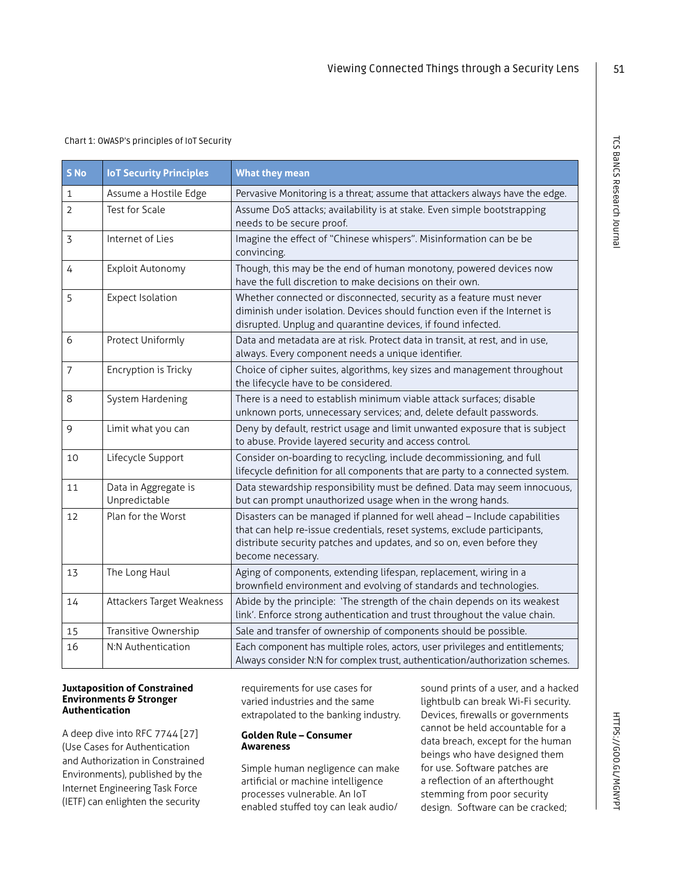## Chart 1: OWASP's principles of IoT Security

| S <sub>No</sub> | <b>IoT Security Principles</b>        | <b>What they mean</b>                                                                                                                                                                                                                              |
|-----------------|---------------------------------------|----------------------------------------------------------------------------------------------------------------------------------------------------------------------------------------------------------------------------------------------------|
| 1               | Assume a Hostile Edge                 | Pervasive Monitoring is a threat; assume that attackers always have the edge.                                                                                                                                                                      |
| $\overline{2}$  | Test for Scale                        | Assume DoS attacks; availability is at stake. Even simple bootstrapping<br>needs to be secure proof.                                                                                                                                               |
| 3               | Internet of Lies                      | Imagine the effect of "Chinese whispers". Misinformation can be be<br>convincing.                                                                                                                                                                  |
| 4               | Exploit Autonomy                      | Though, this may be the end of human monotony, powered devices now<br>have the full discretion to make decisions on their own.                                                                                                                     |
| 5               | <b>Expect Isolation</b>               | Whether connected or disconnected, security as a feature must never<br>diminish under isolation. Devices should function even if the Internet is<br>disrupted. Unplug and quarantine devices, if found infected.                                   |
| 6               | Protect Uniformly                     | Data and metadata are at risk. Protect data in transit, at rest, and in use,<br>always. Every component needs a unique identifier.                                                                                                                 |
| 7               | Encryption is Tricky                  | Choice of cipher suites, algorithms, key sizes and management throughout<br>the lifecycle have to be considered.                                                                                                                                   |
| 8               | System Hardening                      | There is a need to establish minimum viable attack surfaces; disable<br>unknown ports, unnecessary services; and, delete default passwords.                                                                                                        |
| 9               | Limit what you can                    | Deny by default, restrict usage and limit unwanted exposure that is subject<br>to abuse. Provide layered security and access control.                                                                                                              |
| 10              | Lifecycle Support                     | Consider on-boarding to recycling, include decommissioning, and full<br>lifecycle definition for all components that are party to a connected system.                                                                                              |
| 11              | Data in Aggregate is<br>Unpredictable | Data stewardship responsibility must be defined. Data may seem innocuous,<br>but can prompt unauthorized usage when in the wrong hands.                                                                                                            |
| 12              | Plan for the Worst                    | Disasters can be managed if planned for well ahead - Include capabilities<br>that can help re-issue credentials, reset systems, exclude participants,<br>distribute security patches and updates, and so on, even before they<br>become necessary. |
| 13              | The Long Haul                         | Aging of components, extending lifespan, replacement, wiring in a<br>brownfield environment and evolving of standards and technologies.                                                                                                            |
| 14              | Attackers Target Weakness             | Abide by the principle: 'The strength of the chain depends on its weakest<br>link'. Enforce strong authentication and trust throughout the value chain.                                                                                            |
| 15              | Transitive Ownership                  | Sale and transfer of ownership of components should be possible.                                                                                                                                                                                   |
| 16              | N:N Authentication                    | Each component has multiple roles, actors, user privileges and entitlements;<br>Always consider N:N for complex trust, authentication/authorization schemes.                                                                                       |

#### **Juxtaposition of Constrained Environments & Stronger Authentication**

A deep dive into RFC 7744 [27] (Use Cases for Authentication and Authorization in Constrained Environments), published by the Internet Engineering Task Force (IETF) can enlighten the security

requirements for use cases for varied industries and the same extrapolated to the banking industry.

#### **Golden Rule – Consumer Awareness**

Simple human negligence can make artificial or machine intelligence processes vulnerable. An IoT enabled stuffed toy can leak audio/

sound prints of a user, and a hacked lightbulb can break Wi-Fi security. Devices, firewalls or governments cannot be held accountable for a data breach, except for the human beings who have designed them for use. Software patches are a reflection of an afterthought stemming from poor security design. Software can be cracked;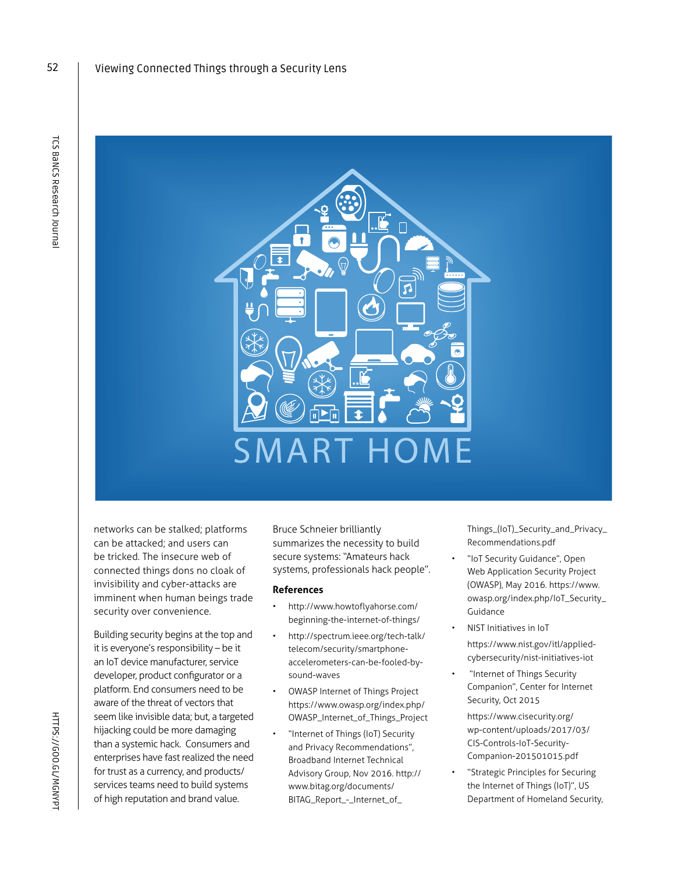52



networks can be stalked; platforms can be attacked; and users can be tricked. The insecure web of connected things dons no cloak of invisibility and cyber-attacks are imminent when human beings trade security over convenience.

Building security begins at the top and it is everyone's responsibility – be it an IoT device manufacturer, service developer, product configurator or a platform. End consumers need to be aware of the threat of vectors that seem like invisible data; but, a targeted hijacking could be more damaging than a systemic hack. Consumers and enterprises have fast realized the need for trust as a currency, and products/ services teams need to build systems of high reputation and brand value.

Bruce Schneier brilliantly summarizes the necessity to build secure systems: "Amateurs hack systems, professionals hack people".

#### **References**

- http://www.howtoflyahorse.com/ beginning-the-internet-of-things/
- http://spectrum.ieee.org/tech-talk/ telecom/security/smartphoneaccelerometers-can-be-fooled-bysound-waves
- OWASP Internet of Things Project https://www.owasp.org/index.php/ OWASP\_Internet\_of\_Things\_Project
- "Internet of Things (IoT) Security and Privacy Recommendations", Broadband Internet Technical Advisory Group, Nov 2016. http:// www.bitag.org/documents/ BITAG\_Report\_-\_Internet\_of\_

Things\_(IoT)\_Security\_and\_Privacy\_ Recommendations.pdf

- "IoT Security Guidance", Open Web Application Security Project (OWASP), May 2016. https://www. owasp.org/index.php/IoT\_Security\_ Guidance
- NIST Initiatives in IoT https://www.nist.gov/itl/appliedcybersecurity/nist-initiatives-iot
- "Internet of Things Security Companion", Center for Internet Security, Oct 2015

https://www.cisecurity.org/ wp-content/uploads/2017/03/ CIS-Controls-IoT-Security-Companion-201501015.pdf

• "Strategic Principles for Securing the Internet of Things (IoT)", US Department of Homeland Security,